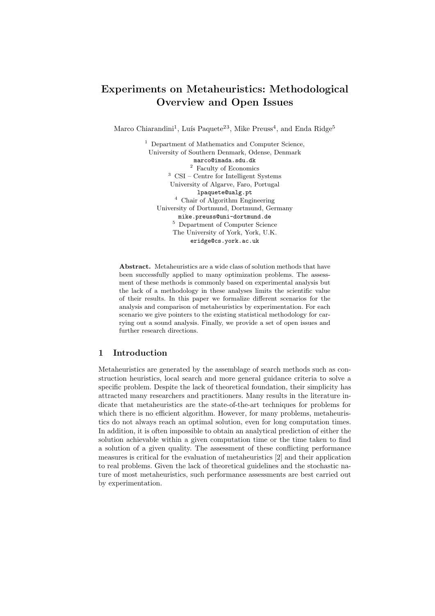# Experiments on Metaheuristics: Methodological Overview and Open Issues

Marco Chiarandini<sup>1</sup>, Luís Paquete<sup>23</sup>, Mike Preuss<sup>4</sup>, and Enda Ridge<sup>5</sup>

<sup>1</sup> Department of Mathematics and Computer Science, University of Southern Denmark, Odense, Denmark marco@imada.sdu.dk <sup>2</sup> Faculty of Economics <sup>3</sup> CSI – Centre for Intelligent Systems University of Algarve, Faro, Portugal lpaquete@ualg.pt <sup>4</sup> Chair of Algorithm Engineering University of Dortmund, Dortmund, Germany mike.preuss@uni-dortmund.de  $5$  Department of Computer Science The University of York, York, U.K. eridge@cs.york.ac.uk

Abstract. Metaheuristics are a wide class of solution methods that have been successfully applied to many optimization problems. The assessment of these methods is commonly based on experimental analysis but the lack of a methodology in these analyses limits the scientific value of their results. In this paper we formalize different scenarios for the analysis and comparison of metaheuristics by experimentation. For each scenario we give pointers to the existing statistical methodology for carrying out a sound analysis. Finally, we provide a set of open issues and further research directions.

### 1 Introduction

Metaheuristics are generated by the assemblage of search methods such as construction heuristics, local search and more general guidance criteria to solve a specific problem. Despite the lack of theoretical foundation, their simplicity has attracted many researchers and practitioners. Many results in the literature indicate that metaheuristics are the state-of-the-art techniques for problems for which there is no efficient algorithm. However, for many problems, metaheuristics do not always reach an optimal solution, even for long computation times. In addition, it is often impossible to obtain an analytical prediction of either the solution achievable within a given computation time or the time taken to find a solution of a given quality. The assessment of these conflicting performance measures is critical for the evaluation of metaheuristics [2] and their application to real problems. Given the lack of theoretical guidelines and the stochastic nature of most metaheuristics, such performance assessments are best carried out by experimentation.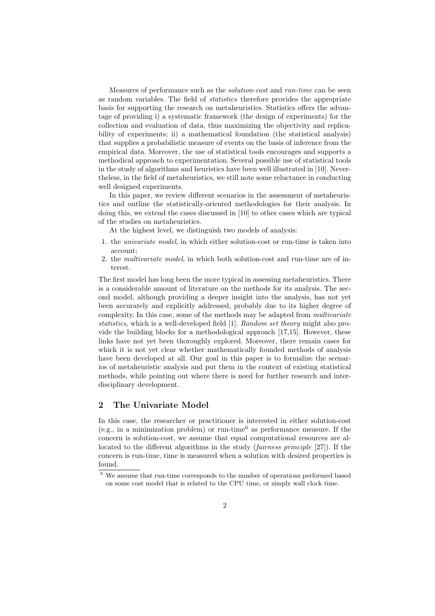Measures of performance such as the solution-cost and run-time can be seen as random variables. The field of statistics therefore provides the appropriate basis for supporting the research on metaheuristics. Statistics offers the advantage of providing i) a systematic framework (the design of experiments) for the collection and evaluation of data, thus maximizing the objectivity and replicability of experiments; ii) a mathematical foundation (the statistical analysis) that supplies a probabilistic measure of events on the basis of inference from the empirical data. Moreover, the use of statistical tools encourages and supports a methodical approach to experimentation. Several possible use of statistical tools in the study of algorithms and heuristics have been well illustrated in [10]. Nevertheless, in the field of metaheuristics, we still note some reluctance in conducting well designed experiments.

In this paper, we review different scenarios in the assessment of metaheuristics and outline the statistically-oriented methodologies for their analysis. In doing this, we extend the cases discussed in [10] to other cases which are typical of the studies on metaheuristics.

At the highest level, we distinguish two models of analysis:

- 1. the univariate model, in which either solution-cost or run-time is taken into account;
- 2. the multivariate model, in which both solution-cost and run-time are of interest.

The first model has long been the more typical in assessing metaheuristics. There is a considerable amount of literature on the methods for its analysis. The second model, although providing a deeper insight into the analysis, has not yet been accurately and explicitly addressed, probably due to its higher degree of complexity. In this case, some of the methods may be adapted from multivariate statistics, which is a well-developed field [1]. Random set theory might also provide the building blocks for a methodological approach [17,15]. However, these links have not yet been thoroughly explored. Moreover, there remain cases for which it is not yet clear whether mathematically founded methods of analysis have been developed at all. Our goal in this paper is to formalize the scenarios of metaheuristic analysis and put them in the context of existing statistical methods, while pointing out where there is need for further research and interdisciplinary development.

### 2 The Univariate Model

In this case, the researcher or practitioner is interested in either solution-cost (e.g., in a minimization problem) or run-time<sup>6</sup> as performance measure. If the concern is solution-cost, we assume that equal computational resources are allocated to the different algorithms in the study (fairness principle [27]). If the concern is run-time, time is measured when a solution with desired properties is found.

<sup>6</sup> We assume that run-time corresponds to the number of operations performed based on some cost model that is related to the CPU time, or simply wall clock time.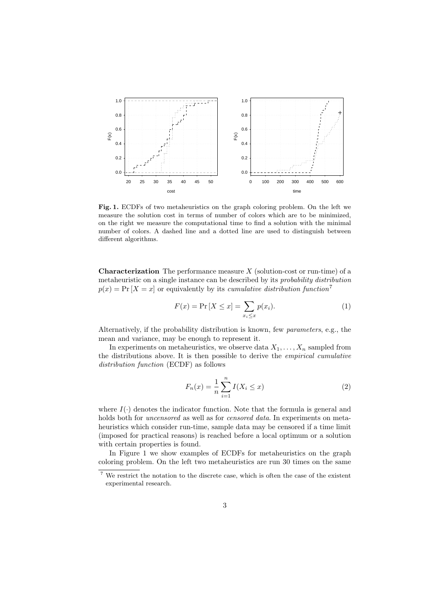

Fig. 1. ECDFs of two metaheuristics on the graph coloring problem. On the left we measure the solution cost in terms of number of colors which are to be minimized, on the right we measure the computational time to find a solution with the minimal number of colors. A dashed line and a dotted line are used to distinguish between different algorithms.

**Characterization** The performance measure  $X$  (solution-cost or run-time) of a metaheuristic on a single instance can be described by its probability distribution  $p(x) = Pr(X = x)$  or equivalently by its *cumulative distribution function*<sup>7</sup>

$$
F(x) = \Pr\left[X \le x\right] = \sum_{x_i \le x} p(x_i). \tag{1}
$$

Alternatively, if the probability distribution is known, few parameters, e.g., the mean and variance, may be enough to represent it.

In experiments on metaheuristics, we observe data  $X_1, \ldots, X_n$  sampled from the distributions above. It is then possible to derive the empirical cumulative distribution function (ECDF) as follows

$$
F_n(x) = \frac{1}{n} \sum_{i=1}^n I(X_i \le x)
$$
 (2)

where  $I(\cdot)$  denotes the indicator function. Note that the formula is general and holds both for *uncensored* as well as for *censored data*. In experiments on metaheuristics which consider run-time, sample data may be censored if a time limit (imposed for practical reasons) is reached before a local optimum or a solution with certain properties is found.

In Figure 1 we show examples of ECDFs for metaheuristics on the graph coloring problem. On the left two metaheuristics are run 30 times on the same

<sup>7</sup> We restrict the notation to the discrete case, which is often the case of the existent experimental research.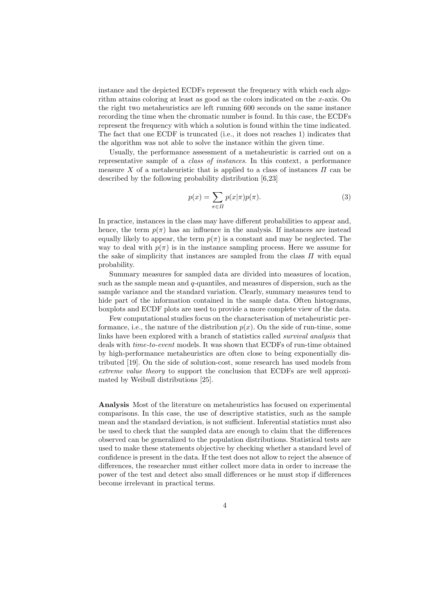instance and the depicted ECDFs represent the frequency with which each algorithm attains coloring at least as good as the colors indicated on the  $x$ -axis. On the right two metaheuristics are left running 600 seconds on the same instance recording the time when the chromatic number is found. In this case, the ECDFs represent the frequency with which a solution is found within the time indicated. The fact that one ECDF is truncated (i.e., it does not reaches 1) indicates that the algorithm was not able to solve the instance within the given time.

Usually, the performance assessment of a metaheuristic is carried out on a representative sample of a class of instances. In this context, a performance measure X of a metaheuristic that is applied to a class of instances  $\Pi$  can be described by the following probability distribution [6,23]

$$
p(x) = \sum_{\pi \in \Pi} p(x|\pi)p(\pi).
$$
 (3)

In practice, instances in the class may have different probabilities to appear and, hence, the term  $p(\pi)$  has an influence in the analysis. If instances are instead equally likely to appear, the term  $p(\pi)$  is a constant and may be neglected. The way to deal with  $p(\pi)$  is in the instance sampling process. Here we assume for the sake of simplicity that instances are sampled from the class  $\Pi$  with equal probability.

Summary measures for sampled data are divided into measures of location, such as the sample mean and  $q$ -quantiles, and measures of dispersion, such as the sample variance and the standard variation. Clearly, summary measures tend to hide part of the information contained in the sample data. Often histograms, boxplots and ECDF plots are used to provide a more complete view of the data.

Few computational studies focus on the characterisation of metaheuristic performance, i.e., the nature of the distribution  $p(x)$ . On the side of run-time, some links have been explored with a branch of statistics called survival analysis that deals with time-to-event models. It was shown that ECDFs of run-time obtained by high-performance metaheuristics are often close to being exponentially distributed [19]. On the side of solution-cost, some research has used models from extreme value theory to support the conclusion that ECDFs are well approximated by Weibull distributions [25].

Analysis Most of the literature on metaheuristics has focused on experimental comparisons. In this case, the use of descriptive statistics, such as the sample mean and the standard deviation, is not sufficient. Inferential statistics must also be used to check that the sampled data are enough to claim that the differences observed can be generalized to the population distributions. Statistical tests are used to make these statements objective by checking whether a standard level of confidence is present in the data. If the test does not allow to reject the absence of differences, the researcher must either collect more data in order to increase the power of the test and detect also small differences or he must stop if differences become irrelevant in practical terms.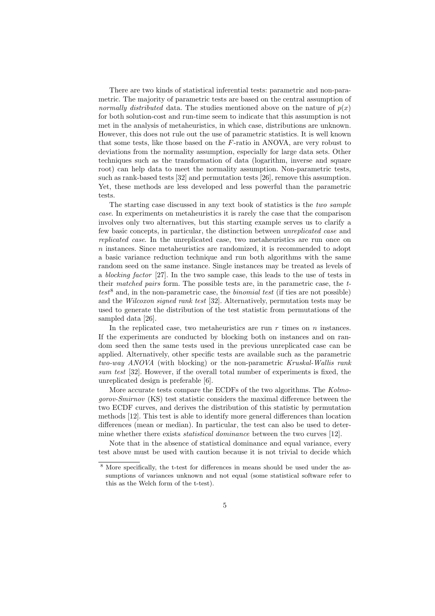There are two kinds of statistical inferential tests: parametric and non-parametric. The majority of parametric tests are based on the central assumption of normally distributed data. The studies mentioned above on the nature of  $p(x)$ for both solution-cost and run-time seem to indicate that this assumption is not met in the analysis of metaheuristics, in which case, distributions are unknown. However, this does not rule out the use of parametric statistics. It is well known that some tests, like those based on the  $F$ -ratio in ANOVA, are very robust to deviations from the normality assumption, especially for large data sets. Other techniques such as the transformation of data (logarithm, inverse and square root) can help data to meet the normality assumption. Non-parametric tests, such as rank-based tests [32] and permutation tests [26], remove this assumption. Yet, these methods are less developed and less powerful than the parametric tests.

The starting case discussed in any text book of statistics is the two sample case. In experiments on metaheuristics it is rarely the case that the comparison involves only two alternatives, but this starting example serves us to clarify a few basic concepts, in particular, the distinction between unreplicated case and replicated case. In the unreplicated case, two metaheuristics are run once on n instances. Since metaheuristics are randomized, it is recommended to adopt a basic variance reduction technique and run both algorithms with the same random seed on the same instance. Single instances may be treated as levels of a blocking factor [27]. In the two sample case, this leads to the use of tests in their matched pairs form. The possible tests are, in the parametric case, the t $test^8$  and, in the non-parametric case, the *binomial test* (if ties are not possible) and the *Wilcoxon signed rank test* [32]. Alternatively, permutation tests may be used to generate the distribution of the test statistic from permutations of the sampled data [26].

In the replicated case, two metaheuristics are run  $r$  times on  $n$  instances. If the experiments are conducted by blocking both on instances and on random seed then the same tests used in the previous unreplicated case can be applied. Alternatively, other specific tests are available such as the parametric two-way ANOVA (with blocking) or the non-parametric Kruskal-Wallis rank sum test [32]. However, if the overall total number of experiments is fixed, the unreplicated design is preferable [6].

More accurate tests compare the ECDFs of the two algorithms. The Kolmogorov-Smirnov (KS) test statistic considers the maximal difference between the two ECDF curves, and derives the distribution of this statistic by permutation methods [12]. This test is able to identify more general differences than location differences (mean or median). In particular, the test can also be used to determine whether there exists *statistical dominance* between the two curves [12].

Note that in the absence of statistical dominance and equal variance, every test above must be used with caution because it is not trivial to decide which

<sup>8</sup> More specifically, the t-test for differences in means should be used under the assumptions of variances unknown and not equal (some statistical software refer to this as the Welch form of the t-test).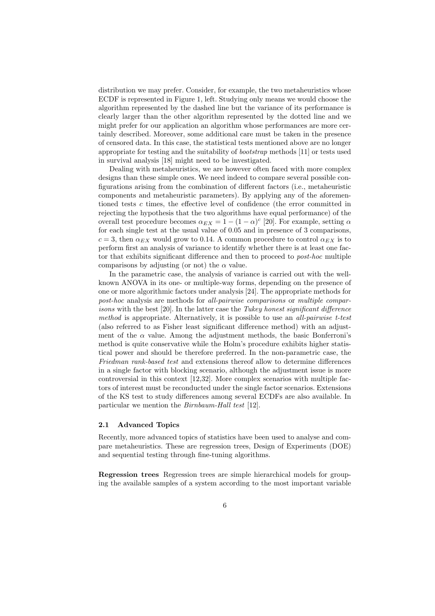distribution we may prefer. Consider, for example, the two metaheuristics whose ECDF is represented in Figure 1, left. Studying only means we would choose the algorithm represented by the dashed line but the variance of its performance is clearly larger than the other algorithm represented by the dotted line and we might prefer for our application an algorithm whose performances are more certainly described. Moreover, some additional care must be taken in the presence of censored data. In this case, the statistical tests mentioned above are no longer appropriate for testing and the suitability of bootstrap methods [11] or tests used in survival analysis [18] might need to be investigated.

Dealing with metaheuristics, we are however often faced with more complex designs than these simple ones. We need indeed to compare several possible configurations arising from the combination of different factors (i.e., metaheuristic components and metaheuristic parameters). By applying any of the aforementioned tests c times, the effective level of confidence (the error committed in rejecting the hypothesis that the two algorithms have equal performance) of the overall test procedure becomes  $\alpha_{EX} = 1 - (1 - \alpha)^c$  [20]. For example, setting  $\alpha$ for each single test at the usual value of 0.05 and in presence of 3 comparisons,  $c = 3$ , then  $\alpha_{EX}$  would grow to 0.14. A common procedure to control  $\alpha_{EX}$  is to perform first an analysis of variance to identify whether there is at least one factor that exhibits significant difference and then to proceed to post-hoc multiple comparisons by adjusting (or not) the  $\alpha$  value.

In the parametric case, the analysis of variance is carried out with the wellknown ANOVA in its one- or multiple-way forms, depending on the presence of one or more algorithmic factors under analysis [24]. The appropriate methods for post-hoc analysis are methods for all-pairwise comparisons or multiple comparisons with the best  $[20]$ . In the latter case the *Tukey honest significant difference* method is appropriate. Alternatively, it is possible to use an all-pairwise t-test (also referred to as Fisher least significant difference method) with an adjustment of the  $\alpha$  value. Among the adjustment methods, the basic Bonferroni's method is quite conservative while the Holm's procedure exhibits higher statistical power and should be therefore preferred. In the non-parametric case, the Friedman rank-based test and extensions thereof allow to determine differences in a single factor with blocking scenario, although the adjustment issue is more controversial in this context [12,32]. More complex scenarios with multiple factors of interest must be reconducted under the single factor scenarios. Extensions of the KS test to study differences among several ECDFs are also available. In particular we mention the Birnbaum-Hall test [12].

### 2.1 Advanced Topics

Recently, more advanced topics of statistics have been used to analyse and compare metaheuristics. These are regression trees, Design of Experiments (DOE) and sequential testing through fine-tuning algorithms.

Regression trees Regression trees are simple hierarchical models for grouping the available samples of a system according to the most important variable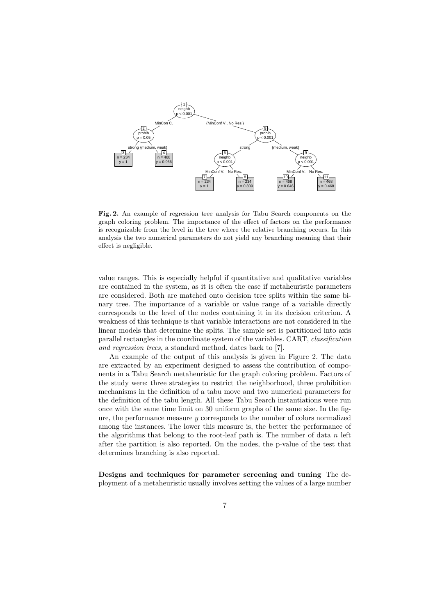

Fig. 2. An example of regression tree analysis for Tabu Search components on the graph coloring problem. The importance of the effect of factors on the performance is recognizable from the level in the tree where the relative branching occurs. In this analysis the two numerical parameters do not yield any branching meaning that their effect is negligible.

value ranges. This is especially helpful if quantitative and qualitative variables are contained in the system, as it is often the case if metaheuristic parameters are considered. Both are matched onto decision tree splits within the same binary tree. The importance of a variable or value range of a variable directly corresponds to the level of the nodes containing it in its decision criterion. A weakness of this technique is that variable interactions are not considered in the linear models that determine the splits. The sample set is partitioned into axis parallel rectangles in the coordinate system of the variables. CART, classification and regression trees, a standard method, dates back to [7].

An example of the output of this analysis is given in Figure 2. The data are extracted by an experiment designed to assess the contribution of components in a Tabu Search metaheuristic for the graph coloring problem. Factors of the study were: three strategies to restrict the neighborhood, three prohibition mechanisms in the definition of a tabu move and two numerical parameters for the definition of the tabu length. All these Tabu Search instantiations were run once with the same time limit on 30 uniform graphs of the same size. In the figure, the performance measure y corresponds to the number of colors normalized among the instances. The lower this measure is, the better the performance of the algorithms that belong to the root-leaf path is. The number of data  $n$  left after the partition is also reported. On the nodes, the p-value of the test that determines branching is also reported.

Designs and techniques for parameter screening and tuning The deployment of a metaheuristic usually involves setting the values of a large number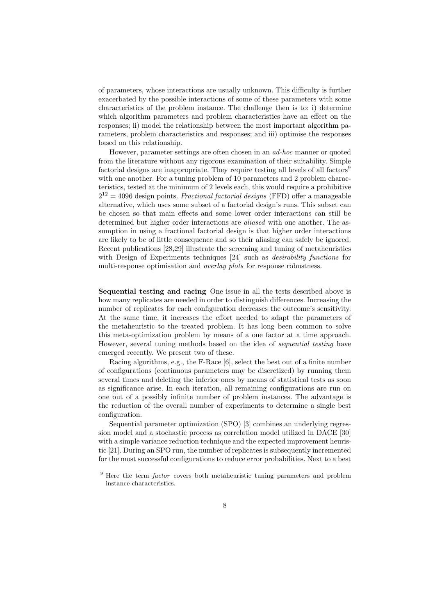of parameters, whose interactions are usually unknown. This difficulty is further exacerbated by the possible interactions of some of these parameters with some characteristics of the problem instance. The challenge then is to: i) determine which algorithm parameters and problem characteristics have an effect on the responses; ii) model the relationship between the most important algorithm parameters, problem characteristics and responses; and iii) optimise the responses based on this relationship.

However, parameter settings are often chosen in an ad-hoc manner or quoted from the literature without any rigorous examination of their suitability. Simple factorial designs are inappropriate. They require testing all levels of all factors<sup>9</sup> with one another. For a tuning problem of 10 parameters and 2 problem characteristics, tested at the minimum of 2 levels each, this would require a prohibitive  $2^{12} = 4096$  design points. *Fractional factorial designs* (FFD) offer a manageable alternative, which uses some subset of a factorial design's runs. This subset can be chosen so that main effects and some lower order interactions can still be determined but higher order interactions are *aliased* with one another. The assumption in using a fractional factorial design is that higher order interactions are likely to be of little consequence and so their aliasing can safely be ignored. Recent publications [28,29] illustrate the screening and tuning of metaheuristics with Design of Experiments techniques [24] such as *desirability functions* for multi-response optimisation and *overlay plots* for response robustness.

Sequential testing and racing One issue in all the tests described above is how many replicates are needed in order to distinguish differences. Increasing the number of replicates for each configuration decreases the outcome's sensitivity. At the same time, it increases the effort needed to adapt the parameters of the metaheuristic to the treated problem. It has long been common to solve this meta-optimization problem by means of a one factor at a time approach. However, several tuning methods based on the idea of sequential testing have emerged recently. We present two of these.

Racing algorithms, e.g., the F-Race [6], select the best out of a finite number of configurations (continuous parameters may be discretized) by running them several times and deleting the inferior ones by means of statistical tests as soon as significance arise. In each iteration, all remaining configurations are run on one out of a possibly infinite number of problem instances. The advantage is the reduction of the overall number of experiments to determine a single best configuration.

Sequential parameter optimization (SPO) [3] combines an underlying regression model and a stochastic process as correlation model utilized in DACE [30] with a simple variance reduction technique and the expected improvement heuristic [21]. During an SPO run, the number of replicates is subsequently incremented for the most successful configurations to reduce error probabilities. Next to a best

 $9$  Here the term *factor* covers both metaheuristic tuning parameters and problem instance characteristics.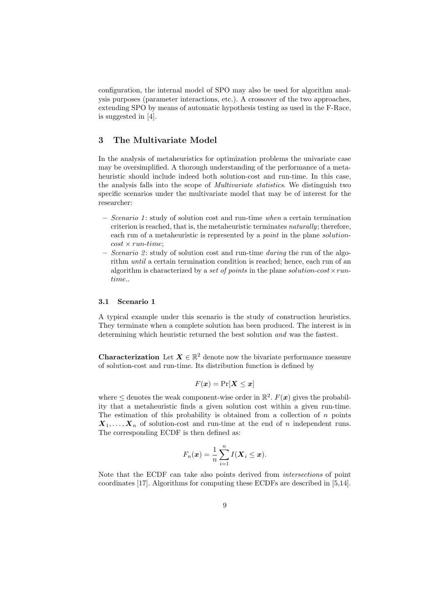configuration, the internal model of SPO may also be used for algorithm analysis purposes (parameter interactions, etc.). A crossover of the two approaches, extending SPO by means of automatic hypothesis testing as used in the F-Race, is suggested in [4].

# 3 The Multivariate Model

In the analysis of metaheuristics for optimization problems the univariate case may be oversimplified. A thorough understanding of the performance of a metaheuristic should include indeed both solution-cost and run-time. In this case, the analysis falls into the scope of Multivariate statistics. We distinguish two specific scenarios under the multivariate model that may be of interest for the researcher:

- $-$  Scenario 1; study of solution cost and run-time when a certain termination criterion is reached, that is, the metaheuristic terminates naturally; therefore, each run of a metaheuristic is represented by a *point* in the plane *solution* $cost \times run-time;$
- Scenario 2: study of solution cost and run-time during the run of the algorithm *until* a certain termination condition is reached; hence, each run of an algorithm is characterized by a set of points in the plane solution-cost  $\times run$ time..

#### 3.1 Scenario 1

A typical example under this scenario is the study of construction heuristics. They terminate when a complete solution has been produced. The interest is in determining which heuristic returned the best solution and was the fastest.

**Characterization** Let  $X \in \mathbb{R}^2$  denote now the bivariate performance measure of solution-cost and run-time. Its distribution function is defined by

$$
F(\boldsymbol{x}) = \Pr[\boldsymbol{X} \leq \boldsymbol{x}]
$$

where  $\leq$  denotes the weak component-wise order in  $\mathbb{R}^2$ .  $F(\boldsymbol{x})$  gives the probability that a metaheuristic finds a given solution cost within a given run-time. The estimation of this probability is obtained from a collection of  $n$  points  $X_1, \ldots, X_n$  of solution-cost and run-time at the end of n independent runs. The corresponding ECDF is then defined as:

$$
F_n(\boldsymbol{x}) = \frac{1}{n} \sum_{i=1}^n I(\boldsymbol{X}_i \leq \boldsymbol{x}).
$$

Note that the ECDF can take also points derived from intersections of point coordinates [17]. Algorithms for computing these ECDFs are described in [5,14].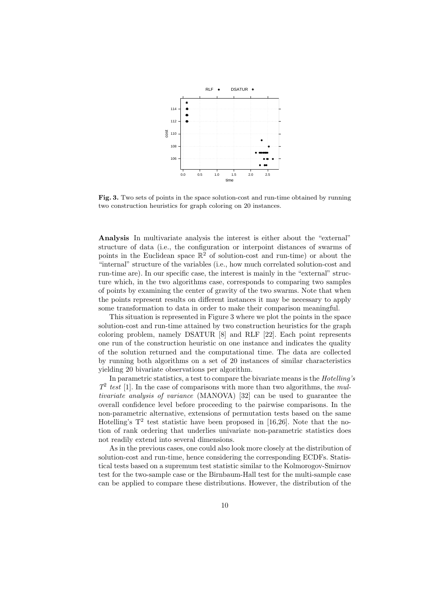

Fig. 3. Two sets of points in the space solution-cost and run-time obtained by running two construction heuristics for graph coloring on 20 instances.

Analysis In multivariate analysis the interest is either about the "external" structure of data (i.e., the configuration or interpoint distances of swarms of points in the Euclidean space  $\mathbb{R}^2$  of solution-cost and run-time) or about the "internal" structure of the variables (i.e., how much correlated solution-cost and run-time are). In our specific case, the interest is mainly in the "external" structure which, in the two algorithms case, corresponds to comparing two samples of points by examining the center of gravity of the two swarms. Note that when the points represent results on different instances it may be necessary to apply some transformation to data in order to make their comparison meaningful.

This situation is represented in Figure 3 where we plot the points in the space solution-cost and run-time attained by two construction heuristics for the graph coloring problem, namely DSATUR [8] and RLF [22]. Each point represents one run of the construction heuristic on one instance and indicates the quality of the solution returned and the computational time. The data are collected by running both algorithms on a set of 20 instances of similar characteristics yielding 20 bivariate observations per algorithm.

In parametric statistics, a test to compare the bivariate means is the Hotelling's  $T^2$  test [1]. In the case of comparisons with more than two algorithms, the multivariate analysis of variance (MANOVA) [32] can be used to guarantee the overall confidence level before proceeding to the pairwise comparisons. In the non-parametric alternative, extensions of permutation tests based on the same Hotelling's  $T^2$  test statistic have been proposed in [16,26]. Note that the notion of rank ordering that underlies univariate non-parametric statistics does not readily extend into several dimensions.

As in the previous cases, one could also look more closely at the distribution of solution-cost and run-time, hence considering the corresponding ECDFs. Statistical tests based on a supremum test statistic similar to the Kolmorogov-Smirnov test for the two-sample case or the Birnbaum-Hall test for the multi-sample case can be applied to compare these distributions. However, the distribution of the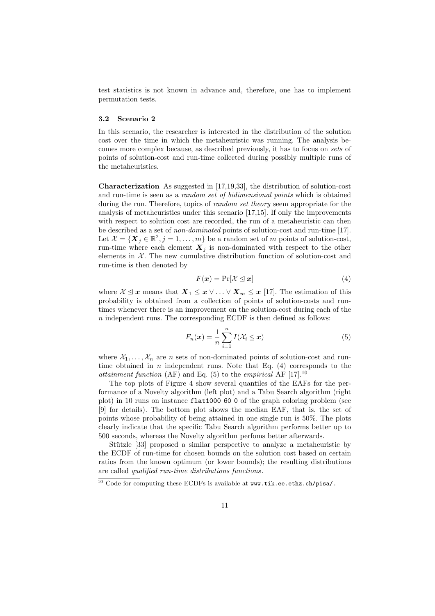test statistics is not known in advance and, therefore, one has to implement permutation tests.

#### 3.2 Scenario 2

In this scenario, the researcher is interested in the distribution of the solution cost over the time in which the metaheuristic was running. The analysis becomes more complex because, as described previously, it has to focus on sets of points of solution-cost and run-time collected during possibly multiple runs of the metaheuristics.

Characterization As suggested in [17,19,33], the distribution of solution-cost and run-time is seen as a random set of bidimensional points which is obtained during the run. Therefore, topics of *random set theory* seem appropriate for the analysis of metaheuristics under this scenario [17,15]. If only the improvements with respect to solution cost are recorded, the run of a metaheuristic can then be described as a set of non-dominated points of solution-cost and run-time [17]. Let  $\mathcal{X} = \{ \boldsymbol{X}_j \in \mathbb{R}^2, j = 1, \ldots, m \}$  be a random set of m points of solution-cost, run-time where each element  $X_j$  is non-dominated with respect to the other elements in  $X$ . The new cumulative distribution function of solution-cost and run-time is then denoted by

$$
F(\mathbf{x}) = \Pr[\mathcal{X} \le \mathbf{x}] \tag{4}
$$

where  $X \leq x$  means that  $X_1 \leq x \vee \ldots \vee X_m \leq x$  [17]. The estimation of this probability is obtained from a collection of points of solution-costs and runtimes whenever there is an improvement on the solution-cost during each of the  $n$  independent runs. The corresponding ECDF is then defined as follows:

$$
F_n(\boldsymbol{x}) = \frac{1}{n} \sum_{i=1}^n I(\mathcal{X}_i \leq \boldsymbol{x})
$$
\n(5)

where  $X_1, \ldots, X_n$  are n sets of non-dominated points of solution-cost and runtime obtained in n independent runs. Note that Eq.  $(4)$  corresponds to the attainment function (AF) and Eq. (5) to the empirical AF  $[17]$ .<sup>10</sup>

The top plots of Figure 4 show several quantiles of the EAFs for the performance of a Novelty algorithm (left plot) and a Tabu Search algorithm (right plot) in 10 runs on instance flat1000 60 0 of the graph coloring problem (see [9] for details). The bottom plot shows the median EAF, that is, the set of points whose probability of being attained in one single run is 50%. The plots clearly indicate that the specific Tabu Search algorithm performs better up to 500 seconds, whereas the Novelty algorithm perfoms better afterwards.

Stützle [33] proposed a similar perspective to analyze a metaheuristic by the ECDF of run-time for chosen bounds on the solution cost based on certain ratios from the known optimum (or lower bounds); the resulting distributions are called qualified run-time distributions functions.

 $10$  Code for computing these ECDFs is available at www.tik.ee.ethz.ch/pisa/.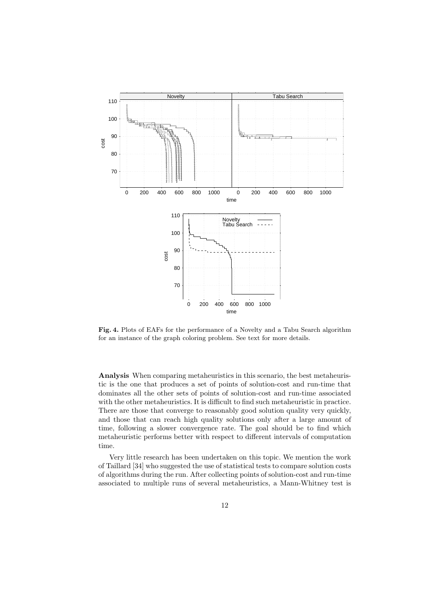

Fig. 4. Plots of EAFs for the performance of a Novelty and a Tabu Search algorithm for an instance of the graph coloring problem. See text for more details.

Analysis When comparing metaheuristics in this scenario, the best metaheuristic is the one that produces a set of points of solution-cost and run-time that dominates all the other sets of points of solution-cost and run-time associated with the other metaheuristics. It is difficult to find such metaheuristic in practice. There are those that converge to reasonably good solution quality very quickly, and those that can reach high quality solutions only after a large amount of time, following a slower convergence rate. The goal should be to find which metaheuristic performs better with respect to different intervals of computation time.

Very little research has been undertaken on this topic. We mention the work of Taillard [34] who suggested the use of statistical tests to compare solution costs of algorithms during the run. After collecting points of solution-cost and run-time associated to multiple runs of several metaheuristics, a Mann-Whitney test is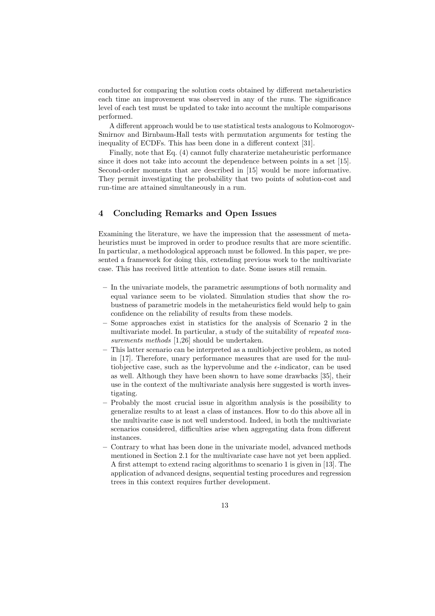conducted for comparing the solution costs obtained by different metaheuristics each time an improvement was observed in any of the runs. The significance level of each test must be updated to take into account the multiple comparisons performed.

A different approach would be to use statistical tests analogous to Kolmorogov-Smirnov and Birnbaum-Hall tests with permutation arguments for testing the inequality of ECDFs. This has been done in a different context [31].

Finally, note that Eq. (4) cannot fully charaterize metaheuristic performance since it does not take into account the dependence between points in a set [15]. Second-order moments that are described in [15] would be more informative. They permit investigating the probability that two points of solution-cost and run-time are attained simultaneously in a run.

## 4 Concluding Remarks and Open Issues

Examining the literature, we have the impression that the assessment of metaheuristics must be improved in order to produce results that are more scientific. In particular, a methodological approach must be followed. In this paper, we presented a framework for doing this, extending previous work to the multivariate case. This has received little attention to date. Some issues still remain.

- In the univariate models, the parametric assumptions of both normality and equal variance seem to be violated. Simulation studies that show the robustness of parametric models in the metaheuristics field would help to gain confidence on the reliability of results from these models.
- Some approaches exist in statistics for the analysis of Scenario 2 in the multivariate model. In particular, a study of the suitability of repeated measurements methods [1,26] should be undertaken.
- This latter scenario can be interpreted as a multiobjective problem, as noted in [17]. Therefore, unary performance measures that are used for the multiobjective case, such as the hypervolume and the  $\epsilon$ -indicator, can be used as well. Although they have been shown to have some drawbacks [35], their use in the context of the multivariate analysis here suggested is worth investigating.
- Probably the most crucial issue in algorithm analysis is the possibility to generalize results to at least a class of instances. How to do this above all in the multivarite case is not well understood. Indeed, in both the multivariate scenarios considered, difficulties arise when aggregating data from different instances.
- Contrary to what has been done in the univariate model, advanced methods mentioned in Section 2.1 for the multivariate case have not yet been applied. A first attempt to extend racing algorithms to scenario 1 is given in [13]. The application of advanced designs, sequential testing procedures and regression trees in this context requires further development.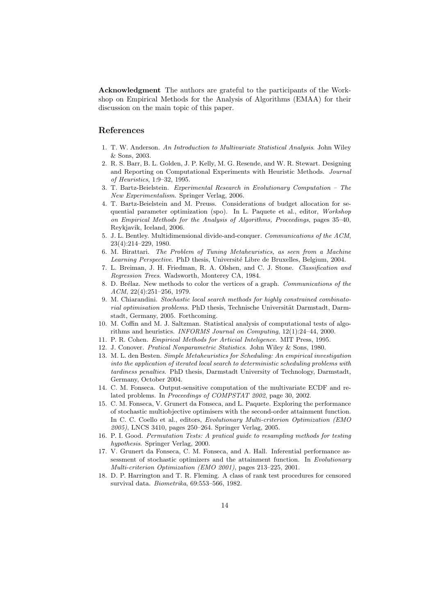Acknowledgment The authors are grateful to the participants of the Workshop on Empirical Methods for the Analysis of Algorithms (EMAA) for their discussion on the main topic of this paper.

### References

- 1. T. W. Anderson. An Introduction to Multivariate Statistical Analysis. John Wiley & Sons, 2003.
- 2. R. S. Barr, B. L. Golden, J. P. Kelly, M. G. Resende, and W. R. Stewart. Designing and Reporting on Computational Experiments with Heuristic Methods. Journal of Heuristics, 1:9–32, 1995.
- 3. T. Bartz-Beielstein. Experimental Research in Evolutionary Computation The New Experimentalism. Springer Verlag, 2006.
- 4. T. Bartz-Beielstein and M. Preuss. Considerations of budget allocation for sequential parameter optimization (spo). In L. Paquete et al., editor, Workshop on Empirical Methods for the Analysis of Algorithms, Proceedings, pages 35–40, Reykjavik, Iceland, 2006.
- 5. J. L. Bentley. Multidimensional divide-and-conquer. Communications of the ACM, 23(4):214–229, 1980.
- 6. M. Birattari. The Problem of Tuning Metaheuristics, as seen from a Machine Learning Perspective. PhD thesis, Université Libre de Bruxelles, Belgium, 2004.
- 7. L. Breiman, J. H. Friedman, R. A. Olshen, and C. J. Stone. Classification and Regression Trees. Wadsworth, Monterey CA, 1984.
- 8. D. Brélaz. New methods to color the vertices of a graph. Communications of the  $ACM$ ,  $22(4):251-256$ , 1979.
- 9. M. Chiarandini. Stochastic local search methods for highly constrained combinatorial optimisation problems. PhD thesis, Technische Universität Darmstadt, Darmstadt, Germany, 2005. Forthcoming.
- 10. M. Coffin and M. J. Saltzman. Statistical analysis of computational tests of algorithms and heuristics. INFORMS Journal on Computing, 12(1):24–44, 2000.
- 11. P. R. Cohen. Empirical Methods for Articial Inteligence. MIT Press, 1995.
- 12. J. Conover. Pratical Nonparametric Statistics. John Wiley & Sons, 1980.
- 13. M. L. den Besten. Simple Metaheuristics for Scheduling: An empirical investigation into the application of iterated local search to deterministic scheduling problems with tardiness penalties. PhD thesis, Darmstadt University of Technology, Darmstadt, Germany, October 2004.
- 14. C. M. Fonseca. Output-sensitive computation of the multivariate ECDF and related problems. In Proceedings of COMPSTAT 2002, page 30, 2002.
- 15. C. M. Fonseca, V. Grunert da Fonseca, and L. Paquete. Exploring the performance of stochastic multiobjective optimisers with the second-order attainment function. In C. C. Coello et al., editors, Evolutionary Multi-criterion Optimization (EMO 2005), LNCS 3410, pages 250–264. Springer Verlag, 2005.
- 16. P. I. Good. Permutation Tests: A pratical guide to resampling methods for testing hypothesis. Springer Verlag, 2000.
- 17. V. Grunert da Fonseca, C. M. Fonseca, and A. Hall. Inferential performance assessment of stochastic optimizers and the attainment function. In Evolutionary Multi-criterion Optimization (EMO 2001), pages 213–225, 2001.
- 18. D. P. Harrington and T. R. Fleming. A class of rank test procedures for censored survival data. Biometrika, 69:553–566, 1982.